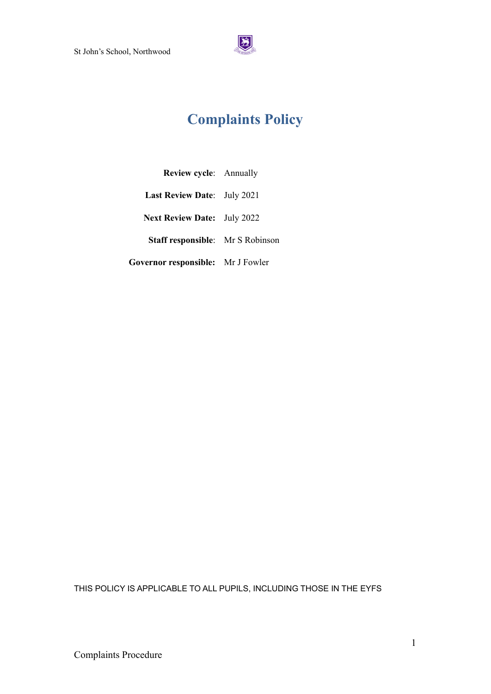

# **Complaints Policy**

| <b>Review cycle:</b> Annually           |  |
|-----------------------------------------|--|
| Last Review Date: July 2021             |  |
| <b>Next Review Date:</b> July 2022      |  |
| <b>Staff responsible:</b> Mr S Robinson |  |
| Governor responsible: Mr J Fowler       |  |

THIS POLICY IS APPLICABLE TO ALL PUPILS, INCLUDING THOSE IN THE EYFS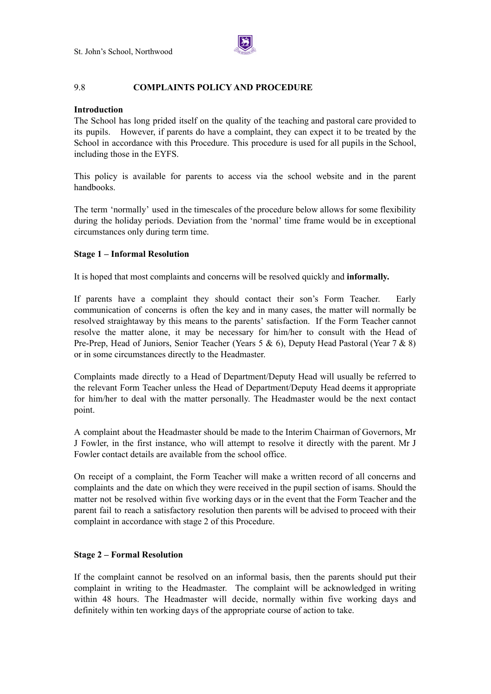

## 9.8 **COMPLAINTS POLICY AND PROCEDURE**

### **Introduction**

The School has long prided itself on the quality of the teaching and pastoral care provided to its pupils. However, if parents do have a complaint, they can expect it to be treated by the School in accordance with this Procedure. This procedure is used for all pupils in the School, including those in the EYFS.

This policy is available for parents to access via the school website and in the parent handbooks.

The term 'normally' used in the timescales of the procedure below allows for some flexibility during the holiday periods. Deviation from the 'normal' time frame would be in exceptional circumstances only during term time.

## **Stage 1 – Informal Resolution**

It is hoped that most complaints and concerns will be resolved quickly and **informally.**

If parents have a complaint they should contact their son's Form Teacher. Early communication of concerns is often the key and in many cases, the matter will normally be resolved straightaway by this means to the parents' satisfaction. If the Form Teacher cannot resolve the matter alone, it may be necessary for him/her to consult with the Head of Pre-Prep, Head of Juniors, Senior Teacher (Years 5 & 6), Deputy Head Pastoral (Year 7 & 8) or in some circumstances directly to the Headmaster.

Complaints made directly to a Head of Department/Deputy Head will usually be referred to the relevant Form Teacher unless the Head of Department/Deputy Head deems it appropriate for him/her to deal with the matter personally. The Headmaster would be the next contact point.

A complaint about the Headmaster should be made to the Interim Chairman of Governors, Mr J Fowler, in the first instance, who will attempt to resolve it directly with the parent. Mr J Fowler contact details are available from the school office.

On receipt of a complaint, the Form Teacher will make a written record of all concerns and complaints and the date on which they were received in the pupil section of isams. Should the matter not be resolved within five working days or in the event that the Form Teacher and the parent fail to reach a satisfactory resolution then parents will be advised to proceed with their complaint in accordance with stage 2 of this Procedure.

#### **Stage 2 – Formal Resolution**

If the complaint cannot be resolved on an informal basis, then the parents should put their complaint in writing to the Headmaster. The complaint will be acknowledged in writing within 48 hours. The Headmaster will decide, normally within five working days and definitely within ten working days of the appropriate course of action to take.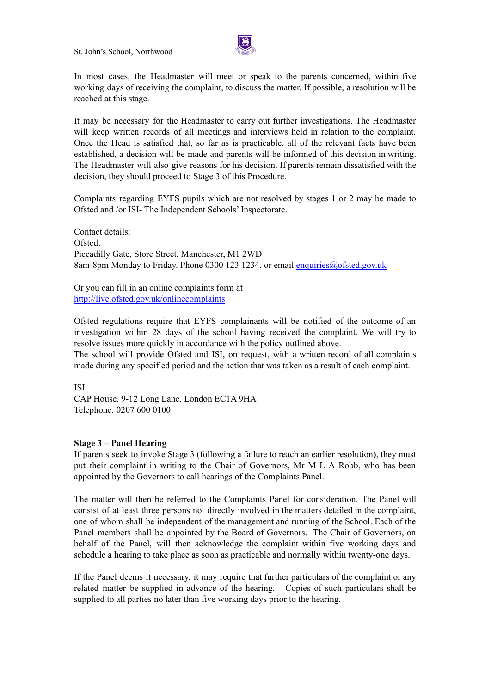St. John's School, Northwood



In most cases, the Headmaster will meet or speak to the parents concerned, within five working days of receiving the complaint, to discuss the matter. If possible, a resolution will be reached at this stage.

It may be necessary for the Headmaster to carry out further investigations. The Headmaster will keep written records of all meetings and interviews held in relation to the complaint. Once the Head is satisfied that, so far as is practicable, all of the relevant facts have been established, a decision will be made and parents will be informed of this decision in writing. The Headmaster will also give reasons for his decision. If parents remain dissatisfied with the decision, they should proceed to Stage 3 of this Procedure.

Complaints regarding EYFS pupils which are not resolved by stages 1 or 2 may be made to Ofsted and /or ISI- The Independent Schools' Inspectorate.

Contact details: Ofsted: Piccadilly Gate, Store Street, Manchester, M1 2WD 8am-8pm Monday to Friday. Phone 0300 123 1234, or email [enquiries@ofsted.gov.uk](mailto:enquiries@ofsted.gov.uk)

Or you can fill in an online complaints form at <http://live.ofsted.gov.uk/onlinecomplaints>

Ofsted regulations require that EYFS complainants will be notified of the outcome of an investigation within 28 days of the school having received the complaint. We will try to resolve issues more quickly in accordance with the policy outlined above.

The school will provide Ofsted and ISI, on request, with a written record of all complaints made during any specified period and the action that was taken as a result of each complaint.

ISI

CAP House, 9-12 Long Lane, London EC1A 9HA Telephone: 0207 600 0100

#### **Stage 3 – Panel Hearing**

If parents seek to invoke Stage 3 (following a failure to reach an earlier resolution), they must put their complaint in writing to the Chair of Governors, Mr M L A Robb, who has been appointed by the Governors to call hearings of the Complaints Panel.

The matter will then be referred to the Complaints Panel for consideration. The Panel will consist of at least three persons not directly involved in the matters detailed in the complaint, one of whom shall be independent of the management and running of the School. Each of the Panel members shall be appointed by the Board of Governors. The Chair of Governors, on behalf of the Panel, will then acknowledge the complaint within five working days and schedule a hearing to take place as soon as practicable and normally within twenty-one days.

If the Panel deems it necessary, it may require that further particulars of the complaint or any related matter be supplied in advance of the hearing. Copies of such particulars shall be supplied to all parties no later than five working days prior to the hearing.